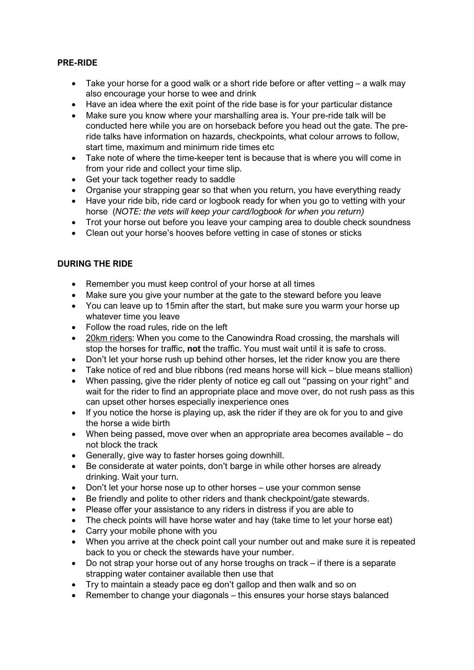## **PRE-RIDE**

- Take your horse for a good walk or a short ride before or after vetting a walk may also encourage your horse to wee and drink
- Have an idea where the exit point of the ride base is for your particular distance
- Make sure you know where your marshalling area is. Your pre-ride talk will be conducted here while you are on horseback before you head out the gate. The preride talks have information on hazards, checkpoints, what colour arrows to follow, start time, maximum and minimum ride times etc
- Take note of where the time-keeper tent is because that is where you will come in from your ride and collect your time slip.
- Get your tack together ready to saddle
- Organise your strapping gear so that when you return, you have everything ready
- Have your ride bib, ride card or logbook ready for when you go to vetting with your horse (*NOTE: the vets will keep your card/logbook for when you return)*
- Trot your horse out before you leave your camping area to double check soundness
- Clean out your horse's hooves before vetting in case of stones or sticks

## **DURING THE RIDE**

- Remember you must keep control of your horse at all times
- Make sure you give your number at the gate to the steward before you leave
- You can leave up to 15min after the start, but make sure you warm your horse up whatever time you leave
- Follow the road rules, ride on the left
- 20km riders: When you come to the Canowindra Road crossing, the marshals will stop the horses for traffic, **not** the traffic. You must wait until it is safe to cross.
- Don't let your horse rush up behind other horses, let the rider know you are there
- Take notice of red and blue ribbons (red means horse will kick blue means stallion)
- When passing, give the rider plenty of notice eg call out "passing on your right" and wait for the rider to find an appropriate place and move over, do not rush pass as this can upset other horses especially inexperience ones
- If you notice the horse is playing up, ask the rider if they are ok for you to and give the horse a wide birth
- When being passed, move over when an appropriate area becomes available do not block the track
- Generally, give way to faster horses going downhill.
- Be considerate at water points, don't barge in while other horses are already drinking. Wait your turn.
- Don't let your horse nose up to other horses use your common sense
- Be friendly and polite to other riders and thank checkpoint/gate stewards.
- Please offer your assistance to any riders in distress if you are able to
- The check points will have horse water and hay (take time to let your horse eat)
- Carry your mobile phone with you
- When you arrive at the check point call your number out and make sure it is repeated back to you or check the stewards have your number.
- Do not strap your horse out of any horse troughs on track if there is a separate strapping water container available then use that
- Try to maintain a steady pace eg don't gallop and then walk and so on
- Remember to change your diagonals this ensures your horse stays balanced